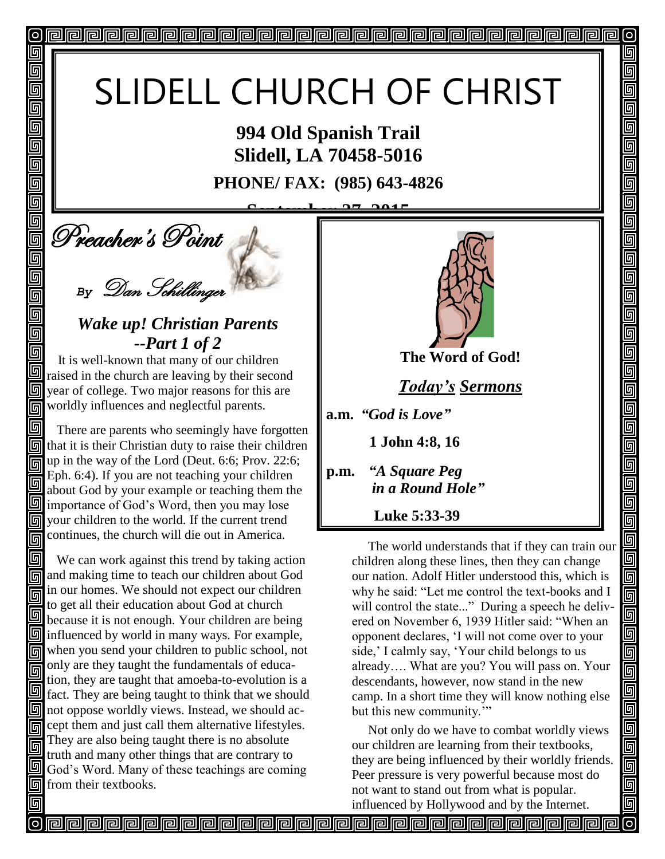# SLIDELL CHURCH OF CHRIST

**994 Old Spanish Trail Slidell, LA 70458-5016**

**PHONE/ FAX: (985) 643-4826**

**Deacher's Point September 27, 2015**

ol

回

回 回 同 回

回 回

回

回

回 回 画

回

回

*By* Dan Schillinger

### *Wake up! Christian Parents --Part 1 of 2*

It is well-known that many of our children raised in the church are leaving by their second **Solution** year of college. Two major reasons for this are **nd** worldly influences and neglectful parents.

اقا There are parents who seemingly have forgotten  $\boxed{5}$  that it is their Christian duty to raise their children up in the way of the Lord (Deut. 6:6; Prov. 22:6; 同 Eph. 6:4). If you are not teaching your children 同 about God by your example or teaching them the importance of God's Word, then you may lose your children to the world. If the current trend 同 continues, the church will die out in America.

回 We can work against this trend by taking action **no** and making time to teach our children about God in our homes. We should not expect our children 同 to get all their education about God at church 回 because it is not enough. Your children are being  $\boxed{9}$  influenced by world in many ways. For example, when you send your children to public school, not only are they taught the fundamentals of educa-同 tion, they are taught that amoeba-to-evolution is a 回 fact. They are being taught to think that we should  $\boxed{9}$  not oppose worldly views. Instead, we should ac-Government cept them and just call them alternative lifestyles. They are also being taught there is no absolute 同 truth and many other things that are contrary to God's Word. Many of these teachings are coming **o** from their textbooks.



 $\overline{O}$ 

回

5

5

5

<u>ர</u>

呵

回

<u>ក</u>  $\overline{\mathbb{F}}$ 

 $\overline{\mathbb{F}}$ 回

回

ele

<u>ggal</u>

<u>ieir</u>

<u>alai</u>

 $\overline{\mathsf{G}}$ 回

**The Word of God!**

*Today's Sermons*

**a.m.** *"God is Love"*

 **1 John 4:8, 16**

**p.m.** *"A Square Peg* *in a Round Hole"*

 **Luke 5:33-39**

 The world understands that if they can train our children along these lines, then they can change our nation. Adolf Hitler understood this, which is why he said: "Let me control the text-books and I will control the state..." During a speech he delivered on November 6, 1939 Hitler said: "When an opponent declares, 'I will not come over to your side,' I calmly say, 'Your child belongs to us already…. What are you? You will pass on. Your descendants, however, now stand in the new camp. In a short time they will know nothing else but this new community."

 Not only do we have to combat worldly views our children are learning from their textbooks, they are being influenced by their worldly friends. Peer pressure is very powerful because most do not want to stand out from what is popular. influenced by Hollywood and by the Internet.

**propopopopopopopopopopopopopopop**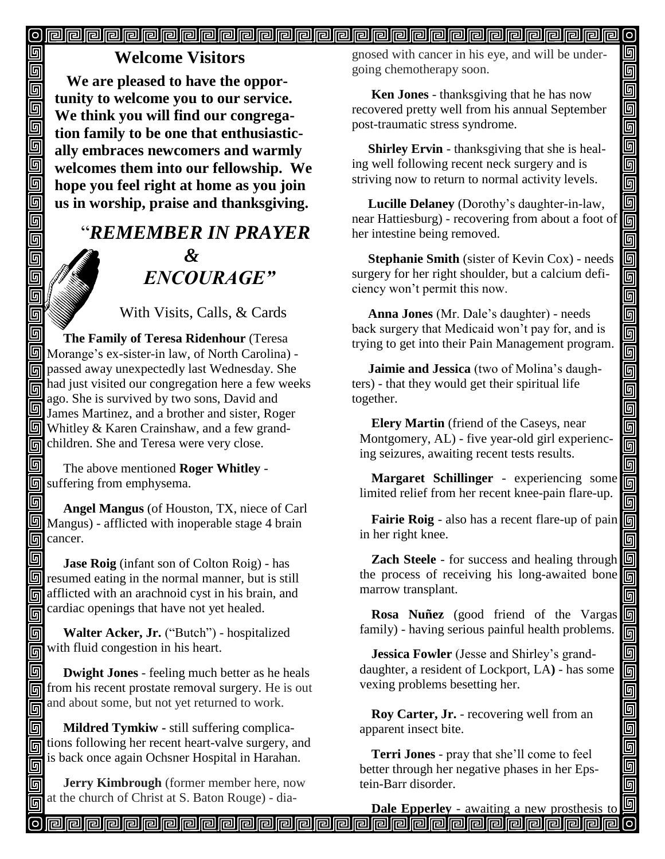#### <u>o pada pada ata ang pagkatang pagkatang pagkatang pagkatang pagkatang pagkatang pagkatang pagkatang pagkatang </u>

## **Welcome Visitors**

回

回

 $\overline{\overline{\mathbb{G}}}$ 

00000

回  $\overline{\mathbb{F}}$ 回  $\blacksquare$ 回 回 回 回

回

回

同

**We are pleased to have the opportunity to welcome you to our service. We think you will find our congregation family to be one that enthusiastically embraces newcomers and warmly welcomes them into our fellowship. We hope you feel right at home as you join us in worship, praise and thanksgiving.**

# "*REMEMBER IN PRAYER &* " *ENCOURAGE"*

With Visits, Calls, & Cards

回  **The Family of Teresa Ridenhour** (Teresa Morange's ex-sister-in law, of North Carolina) passed away unexpectedly last Wednesday. She had just visited our congregation here a few weeks 同 ago. She is survived by two sons, David and James Martinez, and a brother and sister, Roger  $\boxed{5}$  Whitley & Karen Crainshaw, and a few grandchildren. She and Teresa were very close.

 The above mentioned **Roger Whitley** suffering from emphysema.

回  **Angel Mangus** (of Houston, TX, niece of Carl Mangus) - afflicted with inoperable stage 4 brain **o**cancer.

同 **Jase Roig** (infant son of Colton Roig) - has  $\boxed{9}$  resumed eating in the normal manner, but is still afflicted with an arachnoid cyst in his brain, and cardiac openings that have not yet healed. 同

同 **Walter Acker, Jr.** ("Butch") - hospitalized with fluid congestion in his heart. 回

同  **Dwight Jones** - feeling much better as he heals from his recent prostate removal surgery. He is out and about some, but not yet returned to work. 同

 **Mildred Tymkiw -** still suffering complica- $\overline{\text{m}}$  tions following her recent heart-valve surgery, and is back once again Ochsner Hospital in Harahan. 同

 **Jerry Kimbrough** (former member here, now at the church of Christ at S. Baton Rouge) - diagnosed with cancer in his eye, and will be undergoing chemotherapy soon. Î

 $\sigma$ 

回

واواهاواواها واواواها واواواها واواها واواها واواها

回

靣 画 画

画

800000

<u>sieis</u>

面

 **Ken Jones** - thanksgiving that he has now recovered pretty well from his annual September post-traumatic stress syndrome.

 **Shirley Ervin** - thanksgiving that she is healing well following recent neck surgery and is striving now to return to normal activity levels.

 **Lucille Delaney** (Dorothy's daughter-in-law, near Hattiesburg) - recovering from about a foot of her intestine being removed.

 **Stephanie Smith** (sister of Kevin Cox) - needs surgery for her right shoulder, but a calcium deficiency won't permit this now.

 **Anna Jones** (Mr. Dale's daughter) - needs back surgery that Medicaid won't pay for, and is trying to get into their Pain Management program.

 **Jaimie and Jessica** (two of Molina's daughters) - that they would get their spiritual life together.

**Elery Martin** (friend of the Caseys, near Montgomery, AL) - five year-old girl experiencing seizures, awaiting recent tests results.

**Margaret Schillinger** - experiencing some limited relief from her recent knee-pain flare-up.

**Fairie Roig** - also has a recent flare-up of pain in her right knee.

**Zach Steele** - for success and healing through the process of receiving his long-awaited bone marrow transplant.

**Rosa Nuñez** (good friend of the Vargas family) - having serious painful health problems.

**Jessica Fowler** (Jesse and Shirley's granddaughter, a resident of Lockport, LA**)** - has some vexing problems besetting her.

**Roy Carter, Jr.** - recovering well from an apparent insect bite.

**Terri Jones** - pray that she'll come to feel better through her negative phases in her Epstein-Barr disorder.

**Dale Epperley** - awaiting a new prosthesis to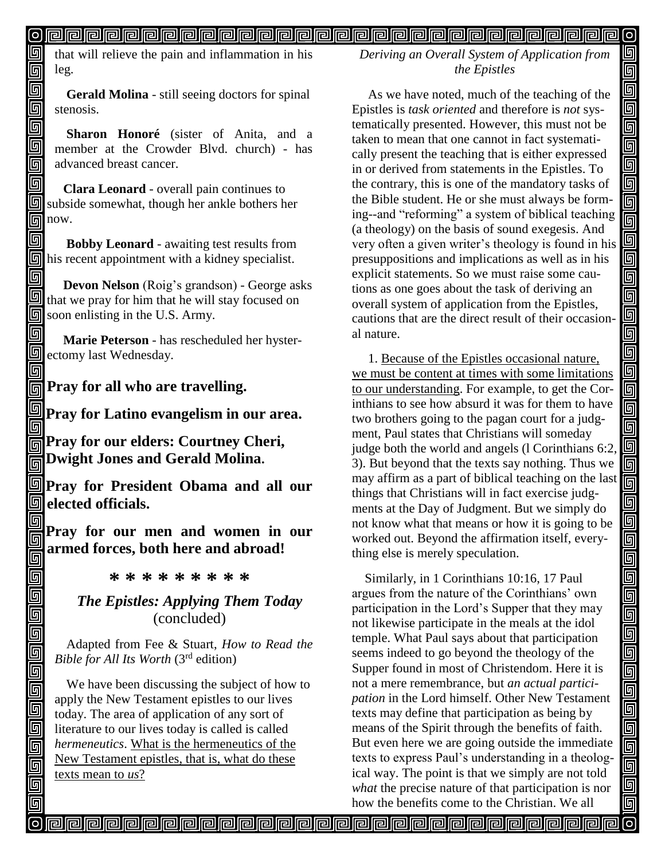#### 

that will relieve the pain and inflammation in his leg.

61 回

回

同

靣

回 同

回

回

回 回 回

 $\Box$ 回

回  $\overline{\mathbb{G}}$ 靣

回 回 靣

回

**Gerald Molina** - still seeing doctors for spinal stenosis.

**Sharon Honoré** (sister of Anita, and a member at the Crowder Blvd. church) - has advanced breast cancer.

回  **Clara Leonard** - overall pain continues to subside somewhat, though her ankle bothers her  $\boxed{m}$  now.

回  **Bobby Leonard** - awaiting test results from  $\boxed{9}$  his recent appointment with a kidney specialist.

同 **Devon Nelson** (Roig's grandson) - George asks  $\Box$  that we pray for him that he will stay focused on soon enlisting in the U.S. Army.

回  **Marie Peterson** - has rescheduled her hyster**s**ectomy last Wednesday.

**Pray for all who are travelling.**

**Pray for Latino evangelism in our area.** 同

**Pray for our elders: Courtney Cheri, Dwight Jones and Gerald Molina.**

**Pray for President Obama and all our elected officials.**

回 **Pray for our men and women in our**  同 **armed forces, both here and abroad!** 同

**\* \* \* \* \* \* \* \* \***

#### *The Epistles: Applying Them Today* (concluded)

Adapted from Fee & Stuart, *How to Read the Bible for All Its Worth* (3rd edition)

We have been discussing the subject of how to apply the New Testament epistles to our lives today. The area of application of any sort of literature to our lives today is called is called *hermeneutics*. What is the hermeneutics of the New Testament epistles, that is, what do these texts mean to *us*?

*Deriving an Overall System of Application from the Epistles*

 $\circ$ 回

回 回

 $\overline{\overline{\mathbb{G}}}$ 

面

回回

<u>s s s</u>

<u>|o|a</u>

<u>gg</u>

<u>ololo d</u>

回回回

<u>gg</u>

 $\blacksquare$ 同 Ō

画

<u>Field</u>

<u>alain</u>

<u>| g g j</u>

<u>gigja</u>

<u>aa</u>

 $\blacksquare$ 回

 As we have noted, much of the teaching of the Epistles is *task oriented* and therefore is *not* systematically presented. However, this must not be taken to mean that one cannot in fact systematically present the teaching that is either expressed in or derived from statements in the Epistles. To the contrary, this is one of the mandatory tasks of the Bible student. He or she must always be forming--and "reforming" a system of biblical teaching (a theology) on the basis of sound exegesis. And very often a given writer's theology is found in his presuppositions and implications as well as in his explicit statements. So we must raise some cautions as one goes about the task of deriving an overall system of application from the Epistles, cautions that are the direct result of their occasional nature.

 1. Because of the Epistles occasional nature, we must be content at times with some limitations to our understanding. For example, to get the Corinthians to see how absurd it was for them to have two brothers going to the pagan court for a judgment, Paul states that Christians will someday judge both the world and angels (l Corinthians 6:2, 3). But beyond that the texts say nothing. Thus we may affirm as a part of biblical teaching on the last things that Christians will in fact exercise judgments at the Day of Judgment. But we simply do not know what that means or how it is going to be worked out. Beyond the affirmation itself, everything else is merely speculation.

 Similarly, in 1 Corinthians 10:16, 17 Paul argues from the nature of the Corinthians' own participation in the Lord's Supper that they may not likewise participate in the meals at the idol temple. What Paul says about that participation seems indeed to go beyond the theology of the Supper found in most of Christendom. Here it is not a mere remembrance, but *an actual participation* in the Lord himself. Other New Testament texts may define that participation as being by means of the Spirit through the benefits of faith. But even here we are going outside the immediate texts to express Paul's understanding in a theological way. The point is that we simply are not told *what* the precise nature of that participation is nor how the benefits come to the Christian. We all